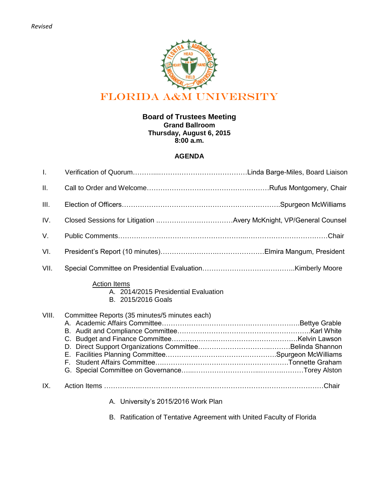

# **Board of Trustees Meeting Grand Ballroom Thursday, August 6, 2015 8:00 a.m.**

## **AGENDA**

| $\mathbf{I}$ . |                                                                                   |  |
|----------------|-----------------------------------------------------------------------------------|--|
| II.            |                                                                                   |  |
| III.           |                                                                                   |  |
| IV.            |                                                                                   |  |
| V.             |                                                                                   |  |
| VI.            |                                                                                   |  |
| VII.           |                                                                                   |  |
|                | <b>Action Items</b><br>A. 2014/2015 Presidential Evaluation<br>B. 2015/2016 Goals |  |
| VIII.          | Committee Reports (35 minutes/5 minutes each)                                     |  |
| IX.            |                                                                                   |  |
|                | A. University's 2015/2016 Work Plan                                               |  |

B. Ratification of Tentative Agreement with United Faculty of Florida